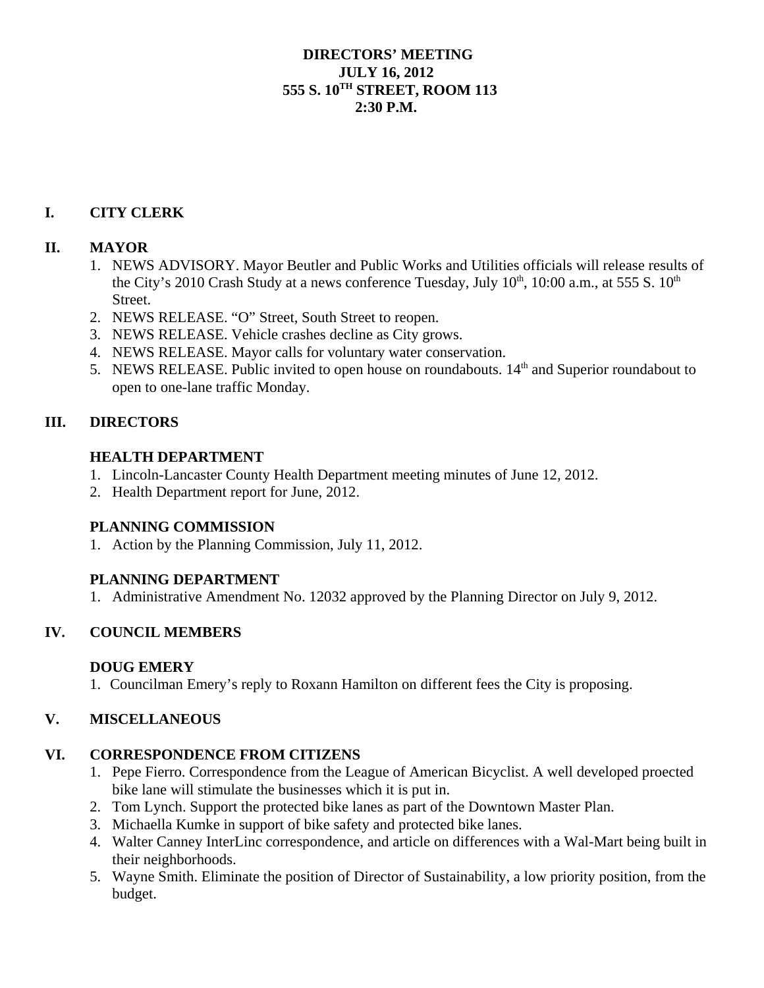#### **DIRECTORS' MEETING JULY 16, 2012 555 S. 10TH STREET, ROOM 113 2:30 P.M.**

# **I. CITY CLERK**

#### **II. MAYOR**

- 1. NEWS ADVISORY. Mayor Beutler and Public Works and Utilities officials will release results of the City's 2010 Crash Study at a news conference Tuesday, July  $10^{th}$ ,  $10:00$  a.m., at 555 S.  $10^{th}$ Street.
- 2. NEWS RELEASE. "O" Street, South Street to reopen.
- 3. NEWS RELEASE. Vehicle crashes decline as City grows.
- 4. NEWS RELEASE. Mayor calls for voluntary water conservation.
- 5. NEWS RELEASE. Public invited to open house on roundabouts.  $14<sup>th</sup>$  and Superior roundabout to open to one-lane traffic Monday.

## **III. DIRECTORS**

#### **HEALTH DEPARTMENT**

- 1. Lincoln-Lancaster County Health Department meeting minutes of June 12, 2012.
- 2. Health Department report for June, 2012.

## **PLANNING COMMISSION**

1. Action by the Planning Commission, July 11, 2012.

## **PLANNING DEPARTMENT**

1. Administrative Amendment No. 12032 approved by the Planning Director on July 9, 2012.

## **IV. COUNCIL MEMBERS**

## **DOUG EMERY**

1. Councilman Emery's reply to Roxann Hamilton on different fees the City is proposing.

## **V. MISCELLANEOUS**

## **VI. CORRESPONDENCE FROM CITIZENS**

- 1. Pepe Fierro. Correspondence from the League of American Bicyclist. A well developed proected bike lane will stimulate the businesses which it is put in.
- 2. Tom Lynch. Support the protected bike lanes as part of the Downtown Master Plan.
- 3. Michaella Kumke in support of bike safety and protected bike lanes.
- 4. Walter Canney InterLinc correspondence, and article on differences with a Wal-Mart being built in their neighborhoods.
- 5. Wayne Smith. Eliminate the position of Director of Sustainability, a low priority position, from the budget.